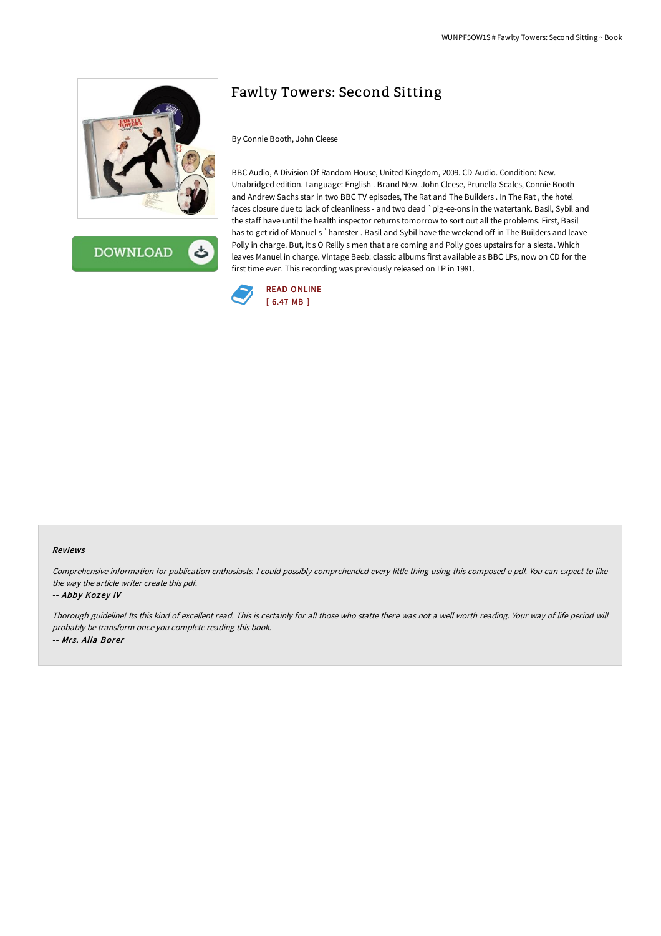

**DOWNLOAD** 

# Fawlty Towers: Second Sitting

By Connie Booth, John Cleese

BBC Audio, A Division Of Random House, United Kingdom, 2009. CD-Audio. Condition: New. Unabridged edition. Language: English . Brand New. John Cleese, Prunella Scales, Connie Booth and Andrew Sachs star in two BBC TV episodes, The Rat and The Builders . In The Rat , the hotel faces closure due to lack of cleanliness - and two dead `pig-ee-ons in the watertank. Basil, Sybil and the staff have until the health inspector returns tomorrow to sort out all the problems. First, Basil has to get rid of Manuel s `hamster . Basil and Sybil have the weekend off in The Builders and leave Polly in charge. But, it s O Reilly s men that are coming and Polly goes upstairs for a siesta. Which leaves Manuel in charge. Vintage Beeb: classic albums first available as BBC LPs, now on CD for the first time ever. This recording was previously released on LP in 1981.



#### Reviews

Comprehensive information for publication enthusiasts. <sup>I</sup> could possibly comprehended every little thing using this composed <sup>e</sup> pdf. You can expect to like the way the article writer create this pdf.

#### -- Abby Kozey IV

Thorough guideline! Its this kind of excellent read. This is certainly for all those who statte there was not <sup>a</sup> well worth reading. Your way of life period will probably be transform once you complete reading this book. -- Mrs. Alia Borer